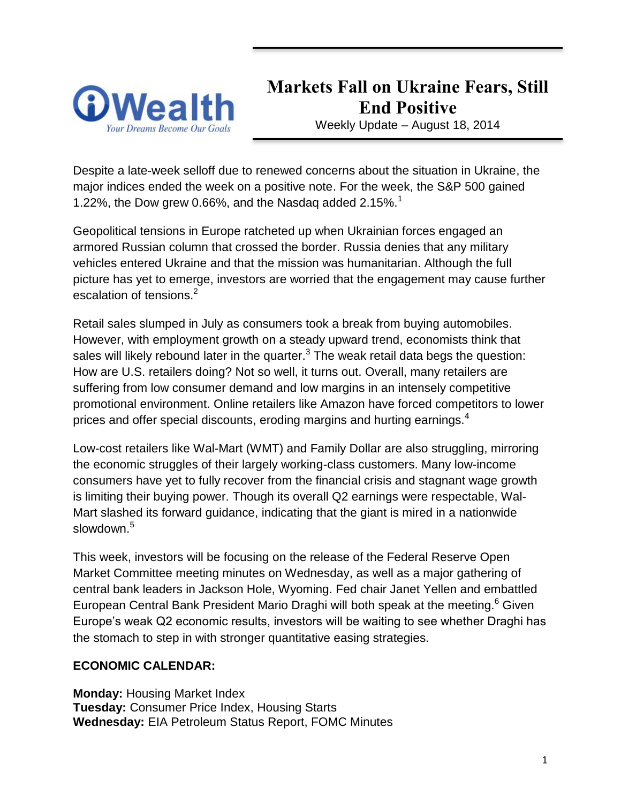

**Markets Fall on Ukraine Fears, Still End Positive**

Weekly Update – August 18, 2014

Despite a late-week selloff due to renewed concerns about the situation in Ukraine, the major indices ended the week on a positive note. For the week, the S&P 500 gained 1.22%, the Dow grew 0.66%, and the Nasdag added  $2.15\%$ <sup>1</sup>

Geopolitical tensions in Europe ratcheted up when Ukrainian forces engaged an armored Russian column that crossed the border. Russia denies that any military vehicles entered Ukraine and that the mission was humanitarian. Although the full picture has yet to emerge, investors are worried that the engagement may cause further escalation of tensions.<sup>2</sup>

Retail sales slumped in July as consumers took a break from buying automobiles. However, with employment growth on a steady upward trend, economists think that sales will likely rebound later in the quarter. $^3$  The weak retail data begs the question: How are U.S. retailers doing? Not so well, it turns out. Overall, many retailers are suffering from low consumer demand and low margins in an intensely competitive promotional environment. Online retailers like Amazon have forced competitors to lower prices and offer special discounts, eroding margins and hurting earnings.<sup>4</sup>

Low-cost retailers like Wal-Mart (WMT) and Family Dollar are also struggling, mirroring the economic struggles of their largely working-class customers. Many low-income consumers have yet to fully recover from the financial crisis and stagnant wage growth is limiting their buying power. Though its overall Q2 earnings were respectable, Wal-Mart slashed its forward guidance, indicating that the giant is mired in a nationwide slowdown.<sup>5</sup>

This week, investors will be focusing on the release of the Federal Reserve Open Market Committee meeting minutes on Wednesday, as well as a major gathering of central bank leaders in Jackson Hole, Wyoming. Fed chair Janet Yellen and embattled European Central Bank President Mario Draghi will both speak at the meeting.<sup>6</sup> Given Europe's weak Q2 economic results, investors will be waiting to see whether Draghi has the stomach to step in with stronger quantitative easing strategies.

#### **ECONOMIC CALENDAR:**

**Monday:** Housing Market Index **Tuesday:** Consumer Price Index, Housing Starts **Wednesday:** EIA Petroleum Status Report, FOMC Minutes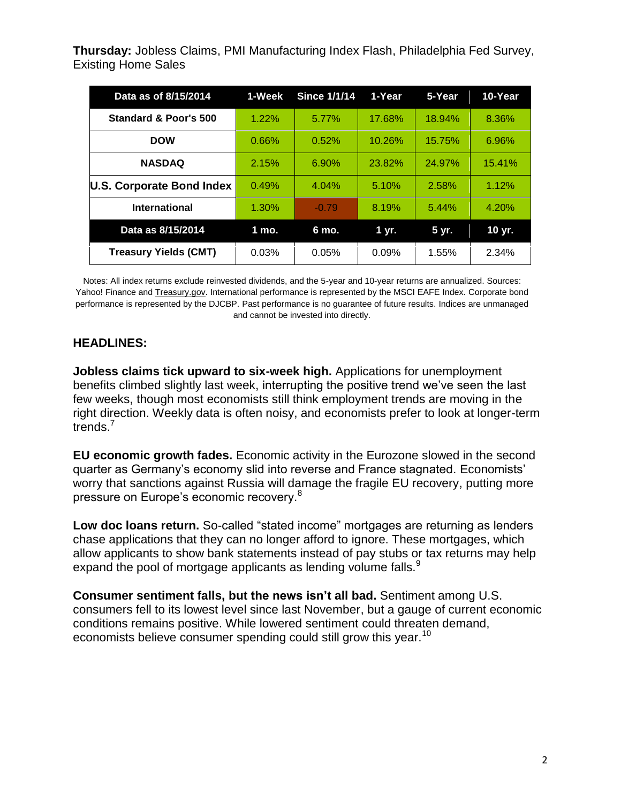**Thursday:** Jobless Claims, PMI Manufacturing Index Flash, Philadelphia Fed Survey, Existing Home Sales

| Data as of 8/15/2014         | 1-Week | <b>Since 1/1/14</b> | 1-Year | 5-Year | 10-Year |
|------------------------------|--------|---------------------|--------|--------|---------|
| Standard & Poor's 500        | 1.22%  | 5.77%               | 17.68% | 18.94% | 8.36%   |
| <b>DOW</b>                   | 0.66%  | 0.52%               | 10.26% | 15.75% | 6.96%   |
| <b>NASDAQ</b>                | 2.15%  | 6.90%               | 23.82% | 24.97% | 15.41%  |
| U.S. Corporate Bond Index    | 0.49%  | 4.04%               | 5.10%  | 2.58%  | 1.12%   |
| <b>International</b>         | 1.30%  | $-0.79$             | 8.19%  | 5.44%  | 4.20%   |
| Data as 8/15/2014            | 1 mo.  | 6 mo.               | 1 yr.  | 5 yr.  | 10 yr.  |
| <b>Treasury Yields (CMT)</b> | 0.03%  | 0.05%               | 0.09%  | 1.55%  | 2.34%   |

Notes: All index returns exclude reinvested dividends, and the 5-year and 10-year returns are annualized. Sources: Yahoo! Finance and [Treasury.gov.](http://treasury.gov/) International performance is represented by the MSCI EAFE Index. Corporate bond performance is represented by the DJCBP. Past performance is no guarantee of future results. Indices are unmanaged and cannot be invested into directly.

#### **HEADLINES:**

**Jobless claims tick upward to six-week high.** Applications for unemployment benefits climbed slightly last week, interrupting the positive trend we've seen the last few weeks, though most economists still think employment trends are moving in the right direction. Weekly data is often noisy, and economists prefer to look at longer-term trends.

**EU economic growth fades.** Economic activity in the Eurozone slowed in the second quarter as Germany's economy slid into reverse and France stagnated. Economists' worry that sanctions against Russia will damage the fragile EU recovery, putting more pressure on Europe's economic recovery.<sup>8</sup>

**Low doc loans return.** So-called "stated income" mortgages are returning as lenders chase applications that they can no longer afford to ignore. These mortgages, which allow applicants to show bank statements instead of pay stubs or tax returns may help expand the pool of mortgage applicants as lending volume falls.<sup>9</sup>

**Consumer sentiment falls, but the news isn't all bad.** Sentiment among U.S. consumers fell to its lowest level since last November, but a gauge of current economic conditions remains positive. While lowered sentiment could threaten demand, economists believe consumer spending could still grow this year.<sup>10</sup>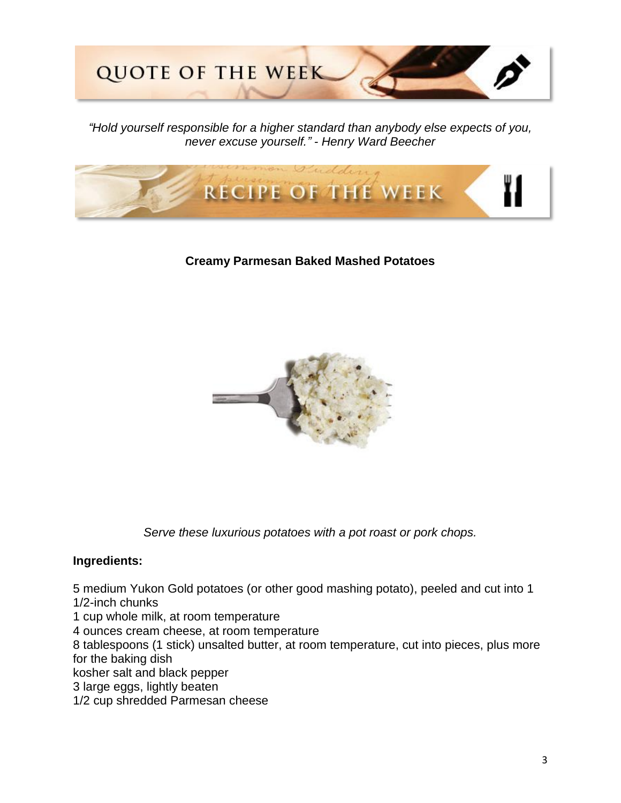

*"Hold yourself responsible for a higher standard than anybody else expects of you, never excuse yourself." - Henry Ward Beecher*



#### **Creamy Parmesan Baked Mashed Potatoes**



*Serve these luxurious potatoes with a pot roast or pork chops.*

#### **Ingredients:**

5 medium Yukon Gold potatoes (or other good mashing potato), peeled and cut into 1 1/2-inch chunks

1 cup whole milk, at room temperature

4 ounces cream cheese, at room temperature

8 tablespoons (1 stick) unsalted butter, at room temperature, cut into pieces, plus more for the baking dish

kosher salt and black pepper

3 large eggs, lightly beaten

1/2 cup shredded Parmesan cheese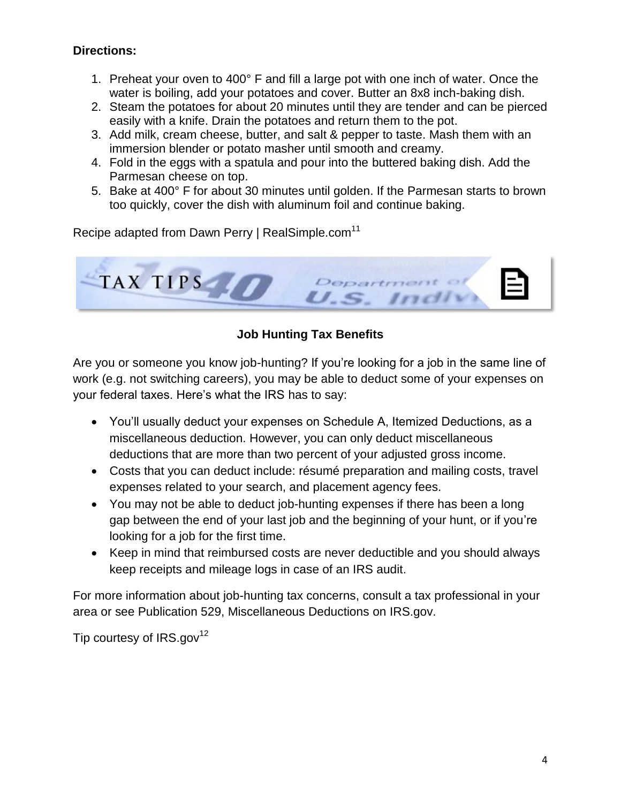#### **Directions:**

- 1. Preheat your oven to 400° F and fill a large pot with one inch of water. Once the water is boiling, add your potatoes and cover. Butter an 8x8 inch-baking dish.
- 2. Steam the potatoes for about 20 minutes until they are tender and can be pierced easily with a knife. Drain the potatoes and return them to the pot.
- 3. Add milk, cream cheese, butter, and salt & pepper to taste. Mash them with an immersion blender or potato masher until smooth and creamy.
- 4. Fold in the eggs with a spatula and pour into the buttered baking dish. Add the Parmesan cheese on top.
- 5. Bake at 400° F for about 30 minutes until golden. If the Parmesan starts to brown too quickly, cover the dish with aluminum foil and continue baking.

Recipe adapted from Dawn Perry | RealSimple.com<sup>11</sup>



# **Job Hunting Tax Benefits**

Are you or someone you know job-hunting? If you're looking for a job in the same line of work (e.g. not switching careers), you may be able to deduct some of your expenses on your federal taxes. Here's what the IRS has to say:

- You'll usually deduct your expenses on Schedule A, Itemized Deductions, as a miscellaneous deduction. However, you can only deduct miscellaneous deductions that are more than two percent of your adjusted gross income.
- Costs that you can deduct include: résumé preparation and mailing costs, travel expenses related to your search, and placement agency fees.
- You may not be able to deduct job-hunting expenses if there has been a long gap between the end of your last job and the beginning of your hunt, or if you're looking for a job for the first time.
- Keep in mind that reimbursed costs are never deductible and you should always keep receipts and mileage logs in case of an IRS audit.

For more information about job-hunting tax concerns, consult a tax professional in your area or see Publication 529, Miscellaneous Deductions on IRS.gov.

Tip courtesy of  $IRS.gov^{12}$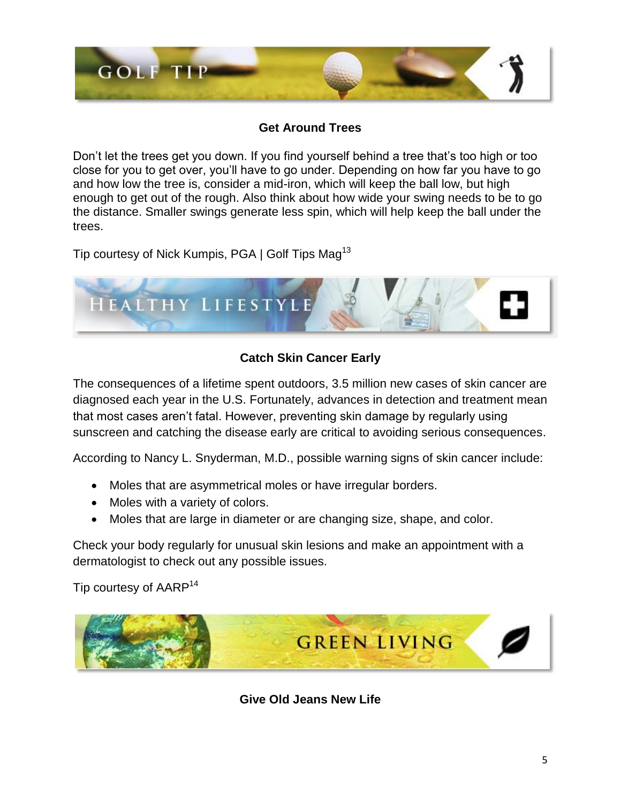

### **Get Around Trees**

Don't let the trees get you down. If you find yourself behind a tree that's too high or too close for you to get over, you'll have to go under. Depending on how far you have to go and how low the tree is, consider a mid-iron, which will keep the ball low, but high enough to get out of the rough. Also think about how wide your swing needs to be to go the distance. Smaller swings generate less spin, which will help keep the ball under the trees.

Tip courtesy of Nick Kumpis, PGA | Golf Tips Mag<sup>13</sup>



## **Catch Skin Cancer Early**

The consequences of a lifetime spent outdoors, 3.5 million new cases of skin cancer are diagnosed each year in the U.S. Fortunately, advances in detection and treatment mean that most cases aren't fatal. However, preventing skin damage by regularly using sunscreen and catching the disease early are critical to avoiding serious consequences.

According to Nancy L. Snyderman, M.D., possible warning signs of skin cancer include:

- Moles that are asymmetrical moles or have irregular borders.
- Moles with a variety of colors.
- Moles that are large in diameter or are changing size, shape, and color.

Check your body regularly for unusual skin lesions and make an appointment with a dermatologist to check out any possible issues.

Tip courtesy of AARP<sup>14</sup>



**Give Old Jeans New Life**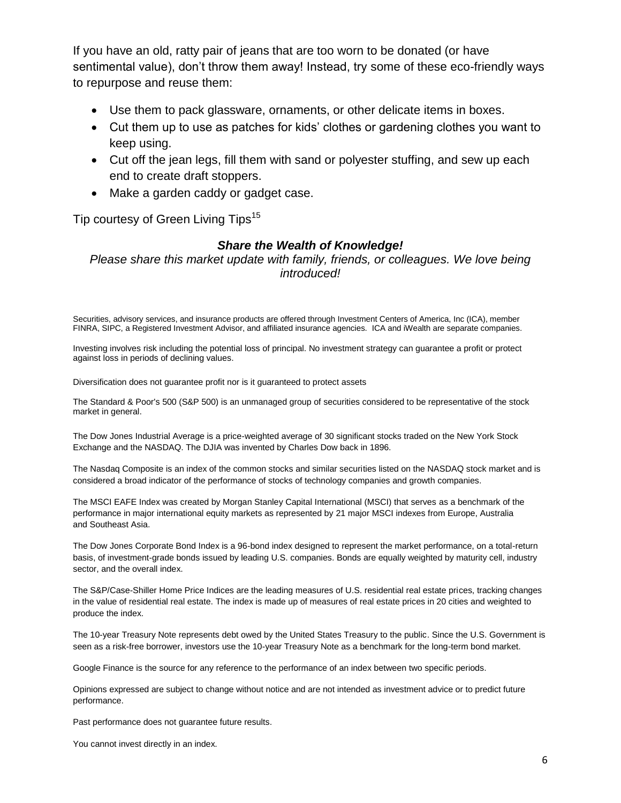If you have an old, ratty pair of jeans that are too worn to be donated (or have sentimental value), don't throw them away! Instead, try some of these eco-friendly ways to repurpose and reuse them:

- Use them to pack glassware, ornaments, or other delicate items in boxes.
- Cut them up to use as patches for kids' clothes or gardening clothes you want to keep using.
- Cut off the jean legs, fill them with sand or polyester stuffing, and sew up each end to create draft stoppers.
- Make a garden caddy or gadget case.

Tip courtesy of Green Living Tips<sup>15</sup>

#### *Share the Wealth of Knowledge!*

*Please share this market update with family, friends, or colleagues. We love being introduced!*

Securities, advisory services, and insurance products are offered through Investment Centers of America, Inc (ICA), member FINRA, SIPC, a Registered Investment Advisor, and affiliated insurance agencies. ICA and iWealth are separate companies.

Investing involves risk including the potential loss of principal. No investment strategy can guarantee a profit or protect against loss in periods of declining values.

Diversification does not guarantee profit nor is it guaranteed to protect assets

The Standard & Poor's 500 (S&P 500) is an unmanaged group of securities considered to be representative of the stock market in general.

The Dow Jones Industrial Average is a price-weighted average of 30 significant stocks traded on the New York Stock Exchange and the NASDAQ. The DJIA was invented by Charles Dow back in 1896.

The Nasdaq Composite is an index of the common stocks and similar securities listed on the NASDAQ stock market and is considered a broad indicator of the performance of stocks of technology companies and growth companies.

The MSCI EAFE Index was created by Morgan Stanley Capital International (MSCI) that serves as a benchmark of the performance in major international equity markets as represented by 21 major MSCI indexes from Europe, Australia and Southeast Asia.

The Dow Jones Corporate Bond Index is a 96-bond index designed to represent the market performance, on a total-return basis, of investment-grade bonds issued by leading U.S. companies. Bonds are equally weighted by maturity cell, industry sector, and the overall index.

The S&P/Case-Shiller Home Price Indices are the leading measures of U.S. residential real estate prices, tracking changes in the value of residential real estate. The index is made up of measures of real estate prices in 20 cities and weighted to produce the index.

The 10-year Treasury Note represents debt owed by the United States Treasury to the public. Since the U.S. Government is seen as a risk-free borrower, investors use the 10-year Treasury Note as a benchmark for the long-term bond market.

Google Finance is the source for any reference to the performance of an index between two specific periods.

Opinions expressed are subject to change without notice and are not intended as investment advice or to predict future performance.

Past performance does not guarantee future results.

You cannot invest directly in an index.